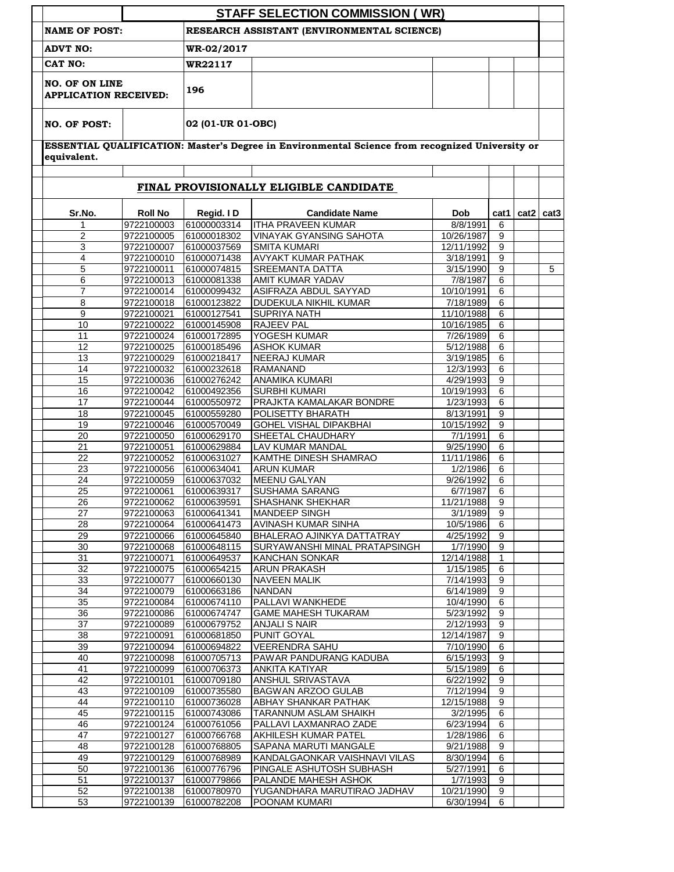|                                                                                     |                          |                            | <b>STAFF SELECTION COMMISSION (WR)</b>                                                          |                        |        |                  |                  |  |  |
|-------------------------------------------------------------------------------------|--------------------------|----------------------------|-------------------------------------------------------------------------------------------------|------------------------|--------|------------------|------------------|--|--|
| RESEARCH ASSISTANT (ENVIRONMENTAL SCIENCE)<br><b>NAME OF POST:</b>                  |                          |                            |                                                                                                 |                        |        |                  |                  |  |  |
| <b>ADVT NO:</b><br>CAT NO:<br><b>NO. OF ON LINE</b><br><b>APPLICATION RECEIVED:</b> |                          | WR-02/2017                 |                                                                                                 |                        |        |                  |                  |  |  |
|                                                                                     |                          | <b>WR22117</b>             |                                                                                                 |                        |        |                  |                  |  |  |
|                                                                                     |                          | 196                        |                                                                                                 |                        |        |                  |                  |  |  |
| <b>NO. OF POST:</b>                                                                 |                          | 02 (01-UR 01-OBC)          |                                                                                                 |                        |        |                  |                  |  |  |
| equivalent.                                                                         |                          |                            | ESSENTIAL QUALIFICATION: Master's Degree in Environmental Science from recognized University or |                        |        |                  |                  |  |  |
|                                                                                     |                          |                            |                                                                                                 |                        |        |                  |                  |  |  |
|                                                                                     |                          |                            | FINAL PROVISIONALLY ELIGIBLE CANDIDATE                                                          |                        |        |                  |                  |  |  |
| Sr.No.                                                                              | <b>Roll No</b>           | Regid. ID                  | <b>Candidate Name</b>                                                                           | <b>Dob</b>             | cat1   | cat <sub>2</sub> | cat <sub>3</sub> |  |  |
| 1                                                                                   | 9722100003               | 61000003314                | <b>ITHA PRAVEEN KUMAR</b>                                                                       | 8/8/1991               | 6      |                  |                  |  |  |
| $\overline{\mathbf{c}}$                                                             | 9722100005               | 61000018302                | <b>VINAYAK GYANSING SAHOTA</b>                                                                  | 10/26/1987             | 9      |                  |                  |  |  |
| 3                                                                                   | 9722100007               | 61000037569                | <b>SMITA KUMARI</b><br><b>AVYAKT KUMAR PATHAK</b>                                               | 12/11/1992             | 9      |                  |                  |  |  |
| 4<br>5                                                                              | 9722100010<br>9722100011 | 61000071438<br>61000074815 | <b>SREEMANTA DATTA</b>                                                                          | 3/18/1991<br>3/15/1990 | 9<br>9 |                  | 5                |  |  |
| 6                                                                                   | 9722100013               | 61000081338                | AMIT KUMAR YADAV                                                                                | 7/8/1987               | 6      |                  |                  |  |  |
| $\overline{7}$                                                                      | 9722100014               | 61000099432                | ASIFRAZA ABDUL SAYYAD                                                                           | 10/10/1991             | 6      |                  |                  |  |  |
| 8                                                                                   | 9722100018               | 61000123822                | DUDEKULA NIKHIL KUMAR                                                                           | 7/18/1989              | 6      |                  |                  |  |  |
| 9                                                                                   | 9722100021               | 61000127541                | <b>SUPRIYA NATH</b>                                                                             | 11/10/1988             | 6      |                  |                  |  |  |
| 10                                                                                  | 9722100022               | 61000145908                | <b>RAJEEV PAL</b>                                                                               | 10/16/1985             | 6      |                  |                  |  |  |
| 11                                                                                  | 9722100024               | 61000172895                | YOGESH KUMAR                                                                                    | 7/26/1989              | 6      |                  |                  |  |  |
| 12                                                                                  | 9722100025               | 61000185496                | <b>ASHOK KUMAR</b>                                                                              | 5/12/1988              | 6      |                  |                  |  |  |
| 13                                                                                  | 9722100029               | 61000218417                | <b>NEERAJ KUMAR</b>                                                                             | 3/19/1985              | 6      |                  |                  |  |  |
| 14                                                                                  | 9722100032               | 61000232618                | <b>RAMANAND</b>                                                                                 | 12/3/1993              | 6      |                  |                  |  |  |
| 15                                                                                  | 9722100036               | 61000276242                | <b>ANAMIKA KUMARI</b>                                                                           | 4/29/1993              | 9      |                  |                  |  |  |
| 16                                                                                  | 9722100042               | 61000492356                | <b>SURBHI KUMARI</b>                                                                            | 10/19/1993             | 6      |                  |                  |  |  |
| 17                                                                                  | 9722100044               | 61000550972                | PRAJKTA KAMALAKAR BONDRE                                                                        | 1/23/1993              | 6      |                  |                  |  |  |
| 18                                                                                  | 9722100045               | 61000559280                | POLISETTY BHARATH                                                                               | 8/13/1991              | 9      |                  |                  |  |  |
| 19                                                                                  | 9722100046               | 61000570049                | <b>GOHEL VISHAL DIPAKBHAI</b>                                                                   | 10/15/1992             | 9      |                  |                  |  |  |
| 20                                                                                  | 9722100050               | 61000629170                | SHEETAL CHAUDHARY                                                                               | 7/1/1991               | 6      |                  |                  |  |  |
| 21                                                                                  | 9722100051               | 61000629884                | LAV KUMAR MANDAL                                                                                | 9/25/1990              | 6      |                  |                  |  |  |
| 22                                                                                  | 9722100052               | 61000631027                | <b>KAMTHE DINESH SHAMRAO</b>                                                                    | 11/11/1986             | 6      |                  |                  |  |  |
| $\overline{23}$                                                                     | 9722100056               | 61000634041                | <b>ARUN KUMAR</b>                                                                               | 1/2/1986               | 6      |                  |                  |  |  |
| 24                                                                                  | 9722100059               | 61000637032                | <b>MEENU GALYAN</b>                                                                             | 9/26/1992              | 6      |                  |                  |  |  |
| 25                                                                                  | 9722100061               | 61000639317                | <b>SUSHAMA SARANG</b>                                                                           | 6/7/1987               | 6      |                  |                  |  |  |
| 26                                                                                  | 9722100062               | 61000639591                | <b>SHASHANK SHEKHAR</b>                                                                         | 11/21/1988             | 9      |                  |                  |  |  |
| 27                                                                                  | 9722100063               | 61000641341                | <b>MANDEEP SINGH</b>                                                                            | 3/1/1989               | 9      |                  |                  |  |  |
| 28                                                                                  | 9722100064               | 61000641473                | AVINASH KUMAR SINHA                                                                             | 10/5/1986              | 6      |                  |                  |  |  |
| 29                                                                                  | 9722100066               | 61000645840                | BHALERAO AJINKYA DATTATRAY                                                                      | 4/25/1992              | 9      |                  |                  |  |  |
| 30                                                                                  | 9722100068               | 61000648115                | <b>SURYAWANSHI MINAL PRATAPSINGH</b>                                                            | 1/7/1990               | 9      |                  |                  |  |  |
| 31                                                                                  | 9722100071               | 61000649537                | <b>KANCHAN SONKAR</b>                                                                           | 12/14/1988             | 1      |                  |                  |  |  |
| 32                                                                                  | 9722100075               | 61000654215                | <b>ARUN PRAKASH</b>                                                                             | 1/15/1985              | 6      |                  |                  |  |  |
| 33                                                                                  | 9722100077               | 61000660130                | <b>NAVEEN MALIK</b>                                                                             | 7/14/1993              | 9      |                  |                  |  |  |
| 34                                                                                  | 9722100079               | 61000663186                | <b>NANDAN</b>                                                                                   | 6/14/1989              | 9      |                  |                  |  |  |
| 35                                                                                  | 9722100084               | 61000674110                | PALLAVI WANKHEDE                                                                                | 10/4/1990              | 6      |                  |                  |  |  |
| 36                                                                                  | 9722100086               | 61000674747                | <b>GAME MAHESH TUKARAM</b>                                                                      | 5/23/1992              | 9      |                  |                  |  |  |
| 37                                                                                  | 9722100089               | 61000679752                | <b>ANJALI S NAIR</b>                                                                            | 2/12/1993              | 9      |                  |                  |  |  |
| 38                                                                                  | 9722100091               | 61000681850                | PUNIT GOYAL                                                                                     | 12/14/1987             | 9      |                  |                  |  |  |
| 39                                                                                  | 9722100094               | 61000694822                | <b>VEERENDRA SAHU</b>                                                                           | 7/10/1990              | 6      |                  |                  |  |  |
| 40                                                                                  | 9722100098               | 61000705713                | PAWAR PANDURANG KADUBA                                                                          | 6/15/1993              | 9      |                  |                  |  |  |
| 41                                                                                  | 9722100099               | 61000706373                | <b>ANKITA KATIYAR</b>                                                                           | 5/15/1989              | 6      |                  |                  |  |  |
| 42                                                                                  | 9722100101               | 61000709180                | ANSHUL SRIVASTAVA                                                                               | 6/22/1992              | 9      |                  |                  |  |  |
| 43                                                                                  | 9722100109               | 61000735580                | BAGWAN ARZOO GULAB                                                                              | 7/12/1994              | 9      |                  |                  |  |  |
| 44                                                                                  | 9722100110               | 61000736028                | ABHAY SHANKAR PATHAK                                                                            | 12/15/1988             | 9      |                  |                  |  |  |
| 45                                                                                  | 9722100115               | 61000743086                | TARANNUM ASLAM SHAIKH                                                                           | 3/2/1995               | 6      |                  |                  |  |  |
| 46                                                                                  | 9722100124               | 61000761056                | PALLAVI LAXMANRAO ZADE                                                                          | 6/23/1994              | 6      |                  |                  |  |  |
| 47                                                                                  | 9722100127               | 61000766768                | AKHILESH KUMAR PATEL                                                                            | 1/28/1986              | 6      |                  |                  |  |  |
| 48                                                                                  | 9722100128               | 61000768805                | SAPANA MARUTI MANGALE                                                                           | 9/21/1988              | 9      |                  |                  |  |  |
| 49                                                                                  | 9722100129               | 61000768989                | KANDALGAONKAR VAISHNAVI VILAS                                                                   | 8/30/1994              | 6      |                  |                  |  |  |
| 50                                                                                  | 9722100136               | 61000776796                | PINGALE ASHUTOSH SUBHASH                                                                        | 5/27/1991              | 6      |                  |                  |  |  |
| 51                                                                                  | 9722100137               | 61000779866                | PALANDE MAHESH ASHOK                                                                            | 1/7/1993               | 9      |                  |                  |  |  |
| 52                                                                                  | 9722100138               | 61000780970                | YUGANDHARA MARUTIRAO JADHAV                                                                     | 10/21/1990             | 9      |                  |                  |  |  |
| 53                                                                                  | 9722100139               | 61000782208                | POONAM KUMARI                                                                                   | 6/30/1994              | 6      |                  |                  |  |  |